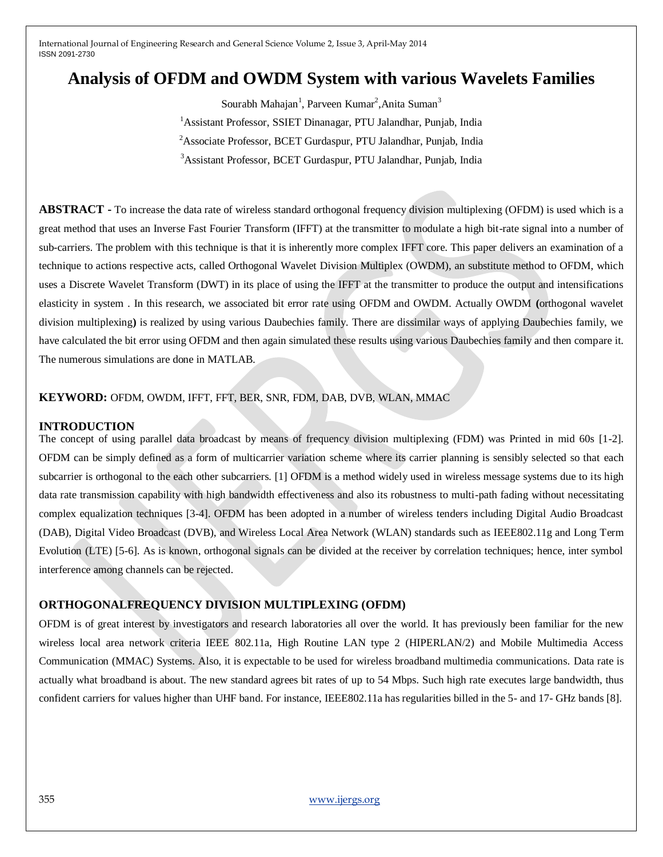# **Analysis of OFDM and OWDM System with various Wavelets Families**

Sourabh Mahajan<sup>1</sup>, Parveen Kumar<sup>2</sup>, Anita Suman<sup>3</sup>

<sup>1</sup> Assistant Professor, SSIET Dinanagar, PTU Jalandhar, Punjab, India

<sup>2</sup>Associate Professor, BCET Gurdaspur, PTU Jalandhar, Punjab, India

<sup>3</sup>Assistant Professor, BCET Gurdaspur, PTU Jalandhar, Punjab, India

**ABSTRACT -** To increase the data rate of wireless standard orthogonal frequency division multiplexing (OFDM) is used which is a great method that uses an Inverse Fast Fourier Transform (IFFT) at the transmitter to modulate a high bit-rate signal into a number of sub-carriers. The problem with this technique is that it is inherently more complex IFFT core. This paper delivers an examination of a technique to actions respective acts, called Orthogonal Wavelet Division Multiplex (OWDM), an substitute method to OFDM, which uses a Discrete Wavelet Transform (DWT) in its place of using the IFFT at the transmitter to produce the output and intensifications elasticity in system . In this research, we associated bit error rate using OFDM and OWDM. Actually OWDM **(**orthogonal wavelet division multiplexing**)** is realized by using various Daubechies family. There are dissimilar ways of applying Daubechies family, we have calculated the bit error using OFDM and then again simulated these results using various Daubechies family and then compare it. The numerous simulations are done in MATLAB.

# **KEYWORD:** OFDM, OWDM, IFFT, FFT, BER, SNR, FDM, DAB, DVB, WLAN, MMAC

## **INTRODUCTION**

The concept of using parallel data broadcast by means of frequency division multiplexing (FDM) was Printed in mid 60s [1-2]. OFDM can be simply defined as a form of multicarrier variation scheme where its carrier planning is sensibly selected so that each subcarrier is orthogonal to the each other subcarriers. [1] OFDM is a method widely used in wireless message systems due to its high data rate transmission capability with high bandwidth effectiveness and also its robustness to multi-path fading without necessitating complex equalization techniques [3-4]. OFDM has been adopted in a number of wireless tenders including Digital Audio Broadcast (DAB), Digital Video Broadcast (DVB), and Wireless Local Area Network (WLAN) standards such as IEEE802.11g and Long Term Evolution (LTE) [5-6]. As is known, orthogonal signals can be divided at the receiver by correlation techniques; hence, inter symbol interference among channels can be rejected.

## **ORTHOGONALFREQUENCY DIVISION MULTIPLEXING (OFDM)**

OFDM is of great interest by investigators and research laboratories all over the world. It has previously been familiar for the new wireless local area network criteria IEEE 802.11a, High Routine LAN type 2 (HIPERLAN/2) and Mobile Multimedia Access Communication (MMAC) Systems. Also, it is expectable to be used for wireless broadband multimedia communications. Data rate is actually what broadband is about. The new standard agrees bit rates of up to 54 Mbps. Such high rate executes large bandwidth, thus confident carriers for values higher than UHF band. For instance, IEEE802.11a has regularities billed in the 5- and 17- GHz bands [8].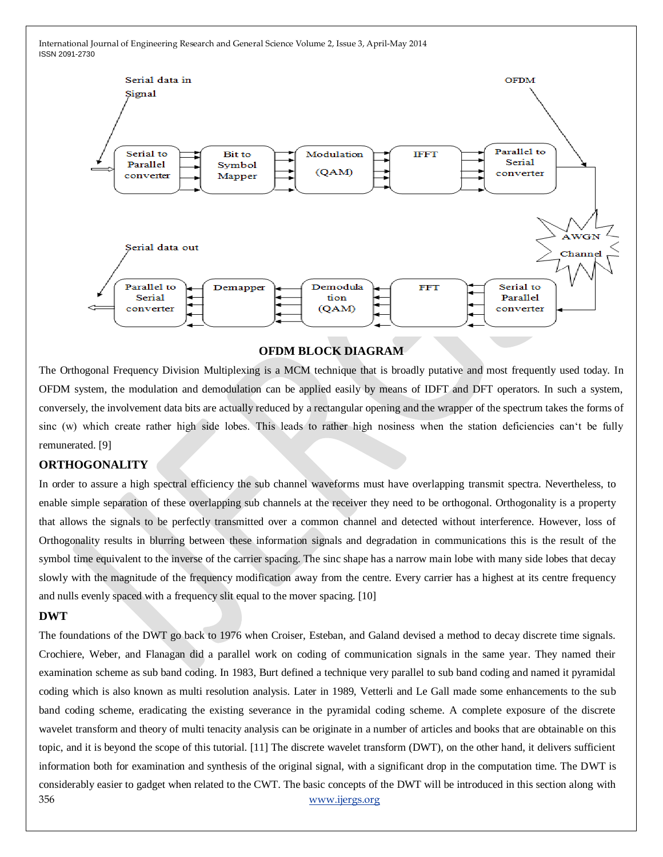

# **OFDM BLOCK DIAGRAM**

The Orthogonal Frequency Division Multiplexing is a MCM technique that is broadly putative and most frequently used today. In OFDM system, the modulation and demodulation can be applied easily by means of IDFT and DFT operators. In such a system, conversely, the involvement data bits are actually reduced by a rectangular opening and the wrapper of the spectrum takes the forms of sinc (w) which create rather high side lobes. This leads to rather high nosiness when the station deficiencies can't be fully remunerated. [9]

# **ORTHOGONALITY**

In order to assure a high spectral efficiency the sub channel waveforms must have overlapping transmit spectra. Nevertheless, to enable simple separation of these overlapping sub channels at the receiver they need to be orthogonal. Orthogonality is a property that allows the signals to be perfectly transmitted over a common channel and detected without interference. However, loss of Orthogonality results in blurring between these information signals and degradation in communications this is the result of the symbol time equivalent to the inverse of the carrier spacing. The sinc shape has a narrow main lobe with many side lobes that decay slowly with the magnitude of the frequency modification away from the centre. Every carrier has a highest at its centre frequency and nulls evenly spaced with a frequency slit equal to the mover spacing. [10]

#### **DWT**

356 [www.ijergs.org](http://www.ijergs.org/) The foundations of the DWT go back to 1976 when Croiser, Esteban, and Galand devised a method to decay discrete time signals. Crochiere, Weber, and Flanagan did a parallel work on coding of communication signals in the same year. They named their examination scheme as sub band coding. In 1983, Burt defined a technique very parallel to sub band coding and named it pyramidal coding which is also known as multi resolution analysis. Later in 1989, Vetterli and Le Gall made some enhancements to the sub band coding scheme, eradicating the existing severance in the pyramidal coding scheme. A complete exposure of the discrete wavelet transform and theory of multi tenacity analysis can be originate in a number of articles and books that are obtainable on this topic, and it is beyond the scope of this tutorial. [11] The discrete wavelet transform (DWT), on the other hand, it delivers sufficient information both for examination and synthesis of the original signal, with a significant drop in the computation time. The DWT is considerably easier to gadget when related to the CWT. The basic concepts of the DWT will be introduced in this section along with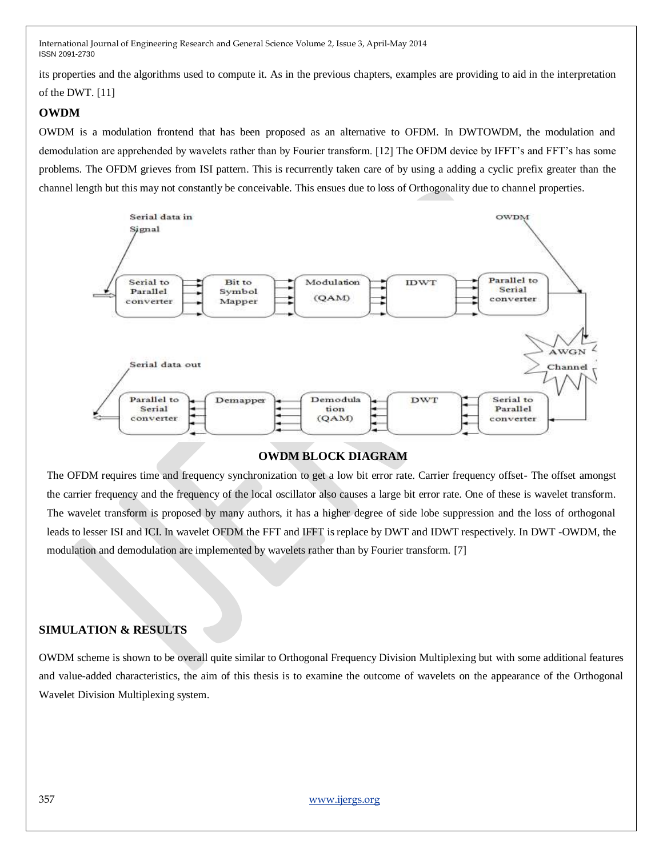its properties and the algorithms used to compute it. As in the previous chapters, examples are providing to aid in the interpretation of the DWT. [11]

# **OWDM**

OWDM is a modulation frontend that has been proposed as an alternative to OFDM. In DWTOWDM, the modulation and demodulation are apprehended by wavelets rather than by Fourier transform. [12] The OFDM device by IFFT"s and FFT"s has some problems. The OFDM grieves from ISI pattern. This is recurrently taken care of by using a adding a cyclic prefix greater than the channel length but this may not constantly be conceivable. This ensues due to loss of Orthogonality due to channel properties.



## **OWDM BLOCK DIAGRAM**

The OFDM requires time and frequency synchronization to get a low bit error rate. Carrier frequency offset- The offset amongst the carrier frequency and the frequency of the local oscillator also causes a large bit error rate. One of these is wavelet transform. The wavelet transform is proposed by many authors, it has a higher degree of side lobe suppression and the loss of orthogonal leads to lesser ISI and ICI. In wavelet OFDM the FFT and IFFT is replace by DWT and IDWT respectively. In DWT -OWDM, the modulation and demodulation are implemented by wavelets rather than by Fourier transform. [7]

# **SIMULATION & RESULTS**

OWDM scheme is shown to be overall quite similar to Orthogonal Frequency Division Multiplexing but with some additional features and value-added characteristics, the aim of this thesis is to examine the outcome of wavelets on the appearance of the Orthogonal Wavelet Division Multiplexing system.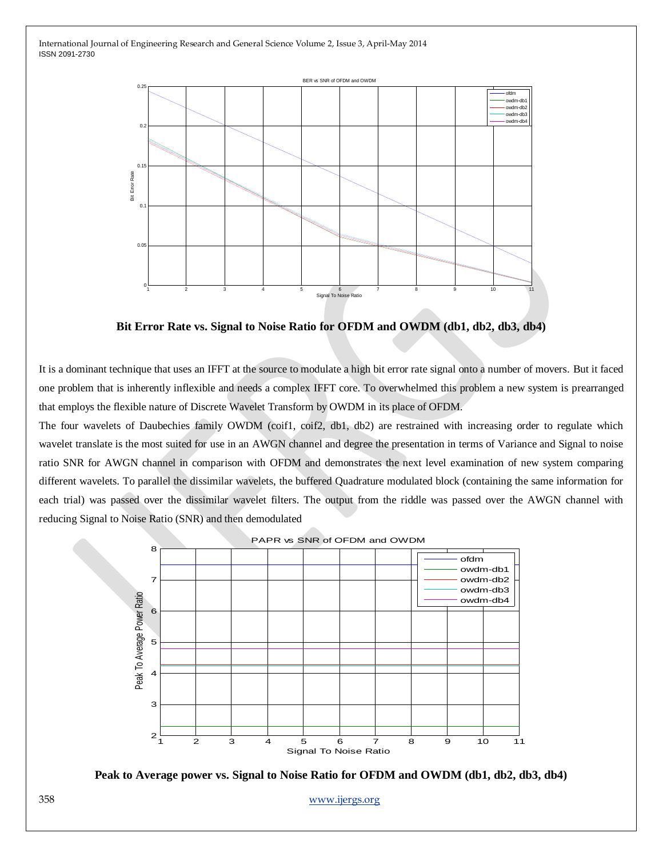

**Bit Error Rate vs. Signal to Noise Ratio for OFDM and OWDM (db1, db2, db3, db4)**

It is a dominant technique that uses an IFFT at the source to modulate a high bit error rate signal onto a number of movers. But it faced one problem that is inherently inflexible and needs a complex IFFT core. To overwhelmed this problem a new system is prearranged that employs the flexible nature of Discrete Wavelet Transform by OWDM in its place of OFDM.

The four wavelets of Daubechies family OWDM (coif1, coif2, db1, db2) are restrained with increasing order to regulate which wavelet translate is the most suited for use in an AWGN channel and degree the presentation in terms of Variance and Signal to noise ratio SNR for AWGN channel in comparison with OFDM and demonstrates the next level examination of new system comparing different wavelets. To parallel the dissimilar wavelets, the buffered Quadrature modulated block (containing the same information for each trial) was passed over the dissimilar wavelet filters. The output from the riddle was passed over the AWGN channel with reducing Signal to Noise Ratio (SNR) and then demodulated





358 [www.ijergs.org](http://www.ijergs.org/)